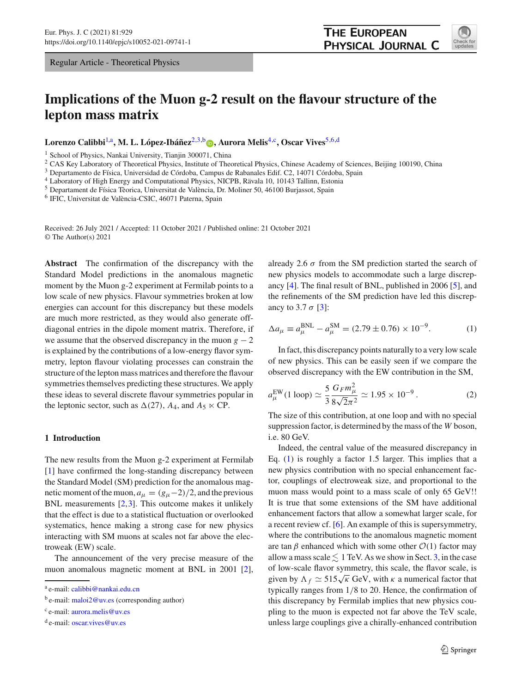Regular Article - Theoretical Physics

# **Implications of the Muon g-2 result on the flavour structure of the lepton mass matrix**

Lorenzo Calibbi<sup>[1,](#page-0-0)a</sup>, M. L. López-Ibáñez<sup>[2](#page-0-0)[,3,](#page-0-1)b</sup> a[,](http://orcid.org/0000-0003-4696-3657) Aurora Melis<sup>[4,](#page-0-2)c</sup>, Oscar Vives<sup>[5](#page-0-3)[,6,](#page-0-4)d</sup>

<sup>1</sup> School of Physics, Nankai University, Tianiin 300071, China

<sup>2</sup> CAS Key Laboratory of Theoretical Physics, Institute of Theoretical Physics, Chinese Academy of Sciences, Beijing 100190, China

<sup>3</sup> Departamento de Física, Universidad de Córdoba, Campus de Rabanales Edif. C2, 14071 Córdoba, Spain

<sup>4</sup> Laboratory of High Energy and Computational Physics, NICPB, Rävala 10, 10143 Tallinn, Estonia

<sup>5</sup> Departament de Física Tèorica, Universitat de València, Dr. Moliner 50, 46100 Burjassot, Spain

<sup>6</sup> IFIC, Universitat de València-CSIC, 46071 Paterna, Spain

Received: 26 July 2021 / Accepted: 11 October 2021 / Published online: 21 October 2021 © The Author(s) 2021

**Abstract** The confirmation of the discrepancy with the Standard Model predictions in the anomalous magnetic moment by the Muon g-2 experiment at Fermilab points to a low scale of new physics. Flavour symmetries broken at low energies can account for this discrepancy but these models are much more restricted, as they would also generate offdiagonal entries in the dipole moment matrix. Therefore, if we assume that the observed discrepancy in the muon  $g - 2$ is explained by the contributions of a low-energy flavor symmetry, lepton flavour violating processes can constrain the structure of the lepton mass matrices and therefore the flavour symmetries themselves predicting these structures. We apply these ideas to several discrete flavour symmetries popular in the leptonic sector, such as  $\Delta(27)$ ,  $A_4$ , and  $A_5 \ltimes \text{CP}$ .

#### **1 Introduction**

The new results from the Muon g-2 experiment at Fermilab [\[1](#page-8-0)] have confirmed the long-standing discrepancy between the Standard Model (SM) prediction for the anomalous magnetic moment of the muon,  $a_\mu = (g_\mu - 2)/2$ , and the previous BNL measurements  $[2,3]$  $[2,3]$  $[2,3]$ . This outcome makes it unlikely that the effect is due to a statistical fluctuation or overlooked systematics, hence making a strong case for new physics interacting with SM muons at scales not far above the electroweak (EW) scale.

The announcement of the very precise measure of the muon anomalous magnetic moment at BNL in 2001 [\[2](#page-8-1)], <span id="page-0-4"></span><span id="page-0-3"></span><span id="page-0-0"></span>already 2.6  $\sigma$  from the SM prediction started the search of new physics models to accommodate such a large discrepancy [\[4](#page-8-3)]. The final result of BNL, published in 2006 [\[5\]](#page-8-4), and the refinements of the SM prediction have led this discrepancy to 3.7  $\sigma$  [\[3\]](#page-8-2):

**THE EUROPEAN** 

<span id="page-0-2"></span><span id="page-0-1"></span>PHYSICAL JOURNAL C

<span id="page-0-5"></span>
$$
\Delta a_{\mu} \equiv a_{\mu}^{\text{BNL}} - a_{\mu}^{\text{SM}} = (2.79 \pm 0.76) \times 10^{-9}.
$$
 (1)

In fact, this discrepancy points naturally to a very low scale of new physics. This can be easily seen if we compare the observed discrepancy with the EW contribution in the SM,

$$
a_{\mu}^{\text{EW}}(1 \text{ loop}) \simeq \frac{5}{3} \frac{G_F m_{\mu}^2}{8\sqrt{2\pi^2}} \simeq 1.95 \times 10^{-9} \,. \tag{2}
$$

The size of this contribution, at one loop and with no special suppression factor, is determined by the mass of the *W* boson, i.e. 80 GeV.

Indeed, the central value of the measured discrepancy in Eq. [\(1\)](#page-0-5) is roughly a factor 1.5 larger. This implies that a new physics contribution with no special enhancement factor, couplings of electroweak size, and proportional to the muon mass would point to a mass scale of only 65 GeV!! It is true that some extensions of the SM have additional enhancement factors that allow a somewhat larger scale, for a recent review cf. [\[6](#page-8-5)]. An example of this is supersymmetry, where the contributions to the anomalous magnetic moment are tan  $\beta$  enhanced which with some other  $\mathcal{O}(1)$  factor may allow a mass scale  $\lesssim 1$  TeV. As we show in Sect. [3,](#page-3-0) in the case of low-scale flavor symmetry, this scale, the flavor scale, is given by  $\Lambda_f \simeq 515\sqrt{\kappa}$  GeV, with  $\kappa$  a numerical factor that typically ranges from 1/8 to 20. Hence, the confirmation of this discrepancy by Fermilab implies that new physics coupling to the muon is expected not far above the TeV scale, unless large couplings give a chirally-enhanced contribution

<sup>a</sup> e-mail: [calibbi@nankai.edu.cn](mailto:calibbi@nankai.edu.cn)

 $b$  e-mail: [maloi2@uv.es](mailto:maloi2@uv.es) (corresponding author)

<sup>c</sup> e-mail: [aurora.melis@uv.es](mailto:aurora.melis@uv.es)

<sup>d</sup> e-mail: [oscar.vives@uv.es](mailto:oscar.vives@uv.es)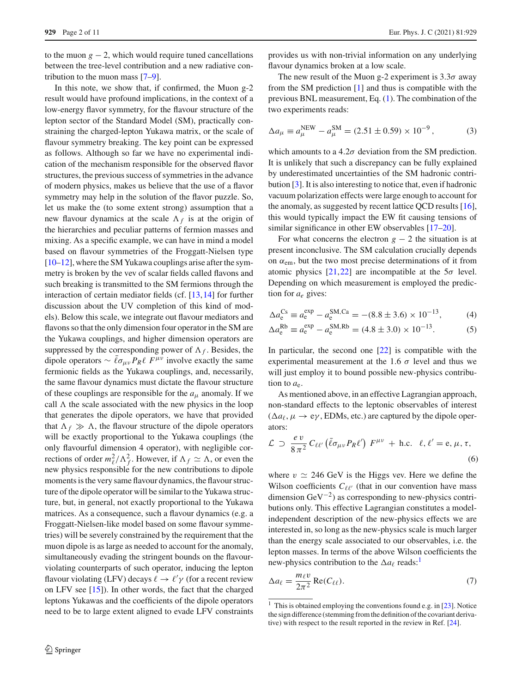to the muon  $g - 2$ , which would require tuned cancellations between the tree-level contribution and a new radiative contribution to the muon mass [\[7](#page-8-6)[–9](#page-8-7)].

In this note, we show that, if confirmed, the Muon g-2 result would have profound implications, in the context of a low-energy flavor symmetry, for the flavour structure of the lepton sector of the Standard Model (SM), practically constraining the charged-lepton Yukawa matrix, or the scale of flavour symmetry breaking. The key point can be expressed as follows. Although so far we have no experimental indication of the mechanism responsible for the observed flavor structures, the previous success of symmetries in the advance of modern physics, makes us believe that the use of a flavor symmetry may help in the solution of the flavor puzzle. So, let us make the (to some extent strong) assumption that a new flavour dynamics at the scale  $\Lambda_f$  is at the origin of the hierarchies and peculiar patterns of fermion masses and mixing. As a specific example, we can have in mind a model based on flavour symmetries of the Froggatt-Nielsen type [\[10](#page-8-8)[–12](#page-8-9)], where the SM Yukawa couplings arise after the symmetry is broken by the vev of scalar fields called flavons and such breaking is transmitted to the SM fermions through the interaction of certain mediator fields (cf. [\[13,](#page-8-10)[14\]](#page-8-11) for further discussion about the UV completion of this kind of models). Below this scale, we integrate out flavour mediators and flavons so that the only dimension four operator in the SM are the Yukawa couplings, and higher dimension operators are suppressed by the corresponding power of  $\Lambda_f$ . Besides, the dipole operators  $\sim \bar{\ell} \sigma_{\mu\nu} P_R \ell F^{\mu\nu}$  involve exactly the same fermionic fields as the Yukawa couplings, and, necessarily, the same flavour dynamics must dictate the flavour structure of these couplings are responsible for the *a*<sup>μ</sup> anomaly. If we call  $\Lambda$  the scale associated with the new physics in the loop that generates the dipole operators, we have that provided that  $\Lambda_f \gg \Lambda$ , the flavour structure of the dipole operators will be exactly proportional to the Yukawa couplings (the only flavourful dimension 4 operator), with negligible corrections of order  $m_\ell^2/\Lambda_f^2$ . However, if  $\Lambda_f \simeq \Lambda$ , or even the new physics responsible for the new contributions to dipole moments is the very same flavour dynamics, the flavour structure of the dipole operator will be similar to the Yukawa structure, but, in general, not exactly proportional to the Yukawa matrices. As a consequence, such a flavour dynamics (e.g. a Froggatt-Nielsen-like model based on some flavour symmetries) will be severely constrained by the requirement that the muon dipole is as large as needed to account for the anomaly, simultaneously evading the stringent bounds on the flavourviolating counterparts of such operator, inducing the lepton flavour violating (LFV) decays  $\ell \to \ell' \gamma$  (for a recent review on LFV see [\[15\]](#page-8-12)). In other words, the fact that the charged leptons Yukawas and the coefficients of the dipole operators need to be to large extent aligned to evade LFV constraints

provides us with non-trivial information on any underlying flavour dynamics broken at a low scale.

The new result of the Muon g-2 experiment is  $3.3\sigma$  away from the SM prediction [\[1](#page-8-0)] and thus is compatible with the previous BNL measurement, Eq. [\(1\)](#page-0-5). The combination of the two experiments reads:

<span id="page-1-1"></span>
$$
\Delta a_{\mu} \equiv a_{\mu}^{\text{NEW}} - a_{\mu}^{\text{SM}} = (2.51 \pm 0.59) \times 10^{-9},\tag{3}
$$

which amounts to a  $4.2\sigma$  deviation from the SM prediction. It is unlikely that such a discrepancy can be fully explained by underestimated uncertainties of the SM hadronic contribution [\[3](#page-8-2)]. It is also interesting to notice that, even if hadronic vacuum polarization effects were large enough to account for the anomaly, as suggested by recent lattice QCD results [\[16](#page-8-13)], this would typically impact the EW fit causing tensions of similar significance in other EW observables [\[17](#page-8-14)[–20](#page-8-15)].

For what concerns the electron  $g - 2$  the situation is at present inconclusive. The SM calculation crucially depends on  $\alpha_{em}$ , but the two most precise determinations of it from atomic physics  $[21,22]$  $[21,22]$  $[21,22]$  are incompatible at the  $5\sigma$  level. Depending on which measurement is employed the prediction for *ae* gives:

<span id="page-1-5"></span><span id="page-1-2"></span>
$$
\Delta a_e^{\text{Cs}} \equiv a_e^{\text{exp}} - a_e^{\text{SM,Ca}} = -(8.8 \pm 3.6) \times 10^{-13},\tag{4}
$$

$$
\Delta a_e^{\text{Rb}} \equiv a_e^{\text{exp}} - a_e^{\text{SM,Rb}} = (4.8 \pm 3.0) \times 10^{-13}.
$$
 (5)

In particular, the second one  $[22]$  $[22]$  is compatible with the experimental measurement at the 1.6  $\sigma$  level and thus we will just employ it to bound possible new-physics contribution to  $a_e$ .

As mentioned above, in an effective Lagrangian approach, non-standard effects to the leptonic observables of interest  $(\Delta a_{\ell}, \mu \rightarrow e_{\gamma}, EDMs, etc.)$  are captured by the dipole operators:

<span id="page-1-3"></span>
$$
\mathcal{L} \supset \frac{ev}{8\pi^2} C_{\ell\ell'} (\bar{\ell}\sigma_{\mu\nu} P_R \ell') F^{\mu\nu} + \text{h.c. } \ell, \ell' = \text{e}, \mu, \tau,
$$
\n(6)

where  $v \approx 246$  GeV is the Higgs vev. Here we define the Wilson coefficients  $C_{\ell\ell'}$  (that in our convention have mass dimension  $\text{GeV}^{-2}$ ) as corresponding to new-physics contributions only. This effective Lagrangian constitutes a modelindependent description of the new-physics effects we are interested in, so long as the new-physics scale is much larger than the energy scale associated to our observables, i.e. the lepton masses. In terms of the above Wilson coefficients the new-physics contribution to the  $\Delta a_{\ell}$  reads:<sup>[1](#page-1-0)</sup>

<span id="page-1-4"></span>
$$
\Delta a_{\ell} = \frac{m_{\ell} v}{2\pi^2} \operatorname{Re}(C_{\ell\ell}).
$$
\n(7)

<span id="page-1-0"></span><sup>&</sup>lt;sup>1</sup> This is obtained employing the conventions found e.g. in [ $23$ ]. Notice the sign difference (stemming from the definition of the covariant derivative) with respect to the result reported in the review in Ref. [\[24\]](#page-9-3).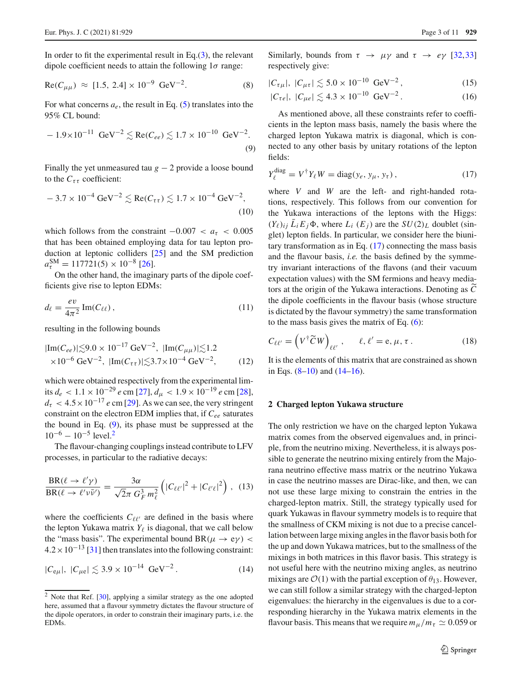In order to fit the experimental result in Eq. $(3)$ , the relevant dipole coefficient needs to attain the following  $1\sigma$  range:

<span id="page-2-3"></span>
$$
Re(C_{\mu\mu}) \approx [1.5, 2.4] \times 10^{-9} \text{ GeV}^{-2}.
$$
 (8)

For what concerns  $a_e$ , the result in Eq.  $(5)$  translates into the 95% CL bound:

<span id="page-2-0"></span>
$$
-1.9 \times 10^{-11} \text{ GeV}^{-2} \lesssim \text{Re}(C_{ee}) \lesssim 1.7 \times 10^{-10} \text{ GeV}^{-2}.
$$
 (9)

Finally the yet unmeasured tau  $g - 2$  provide a loose bound to the  $C_{\tau\tau}$  coefficient:

<span id="page-2-4"></span>
$$
-3.7 \times 10^{-4} \text{ GeV}^{-2} \lesssim \text{Re}(C_{\tau\tau}) \lesssim 1.7 \times 10^{-4} \text{ GeV}^{-2},
$$
\n(10)

which follows from the constraint  $-0.007 < a<sub>\tau</sub> < 0.005$ that has been obtained employing data for tau lepton production at leptonic colliders [\[25](#page-9-4)] and the SM prediction  $a_{\tau}^{\text{SM}} = 117721(5) \times 10^{-8}$  [\[26\]](#page-9-5).

On the other hand, the imaginary parts of the dipole coefficients give rise to lepton EDMs:

$$
d_{\ell} = \frac{ev}{4\pi^2} \operatorname{Im}(C_{\ell\ell}),\tag{11}
$$

resulting in the following bounds

$$
|\text{Im}(C_{ee})| \lesssim 9.0 \times 10^{-17} \text{ GeV}^{-2}, \ |\text{Im}(C_{\mu\mu})| \lesssim 1.2
$$
  
×10<sup>-6</sup> GeV<sup>-2</sup>,  $|\text{Im}(C_{\tau\tau})| \lesssim 3.7 \times 10^{-4} \text{ GeV}^{-2},$  (12)

which were obtained respectively from the experimental limits  $d_e$  < 1.1 × 10<sup>-29</sup> *e* cm [\[27](#page-9-6)],  $d<sub>μ</sub>$  < 1.9 × 10<sup>-19</sup> *e* cm [\[28](#page-9-7)],  $d_{\tau}$  < 4.5 × 10<sup>-17</sup> *e* cm [\[29\]](#page-9-8). As we can see, the very stringent constraint on the electron EDM implies that, if *Cee* saturates the bound in Eq. [\(9\)](#page-2-0), its phase must be suppressed at the  $10^{-6} - 10^{-5}$  level.<sup>[2](#page-2-1)</sup>

The flavour-changing couplings instead contribute to LFV processes, in particular to the radiative decays:

$$
\frac{\text{BR}(\ell \to \ell' \gamma)}{\text{BR}(\ell \to \ell' \nu \bar{\nu}')} = \frac{3\alpha}{\sqrt{2\pi} G_F^3 m_\ell^2} \left( |C_{\ell\ell'}|^2 + |C_{\ell'\ell}|^2 \right), \tag{13}
$$

where the coefficients  $C_{\ell\ell'}$  are defined in the basis where the lepton Yukawa matrix  $Y_{\ell}$  is diagonal, that we call below the "mass basis". The experimental bound  $BR(\mu \to e\gamma)$  <  $4.2 \times 10^{-13}$  [\[31](#page-9-9)] then translates into the following constraint:

<span id="page-2-5"></span>
$$
|C_{e\mu}|, |C_{\mu e}| \lesssim 3.9 \times 10^{-14} \text{ GeV}^{-2}. \tag{14}
$$

Similarly, bounds from  $\tau \to \mu \gamma$  and  $\tau \to e \gamma$  [\[32,](#page-9-11)[33\]](#page-9-12) respectively give:

<span id="page-2-6"></span>
$$
|C_{\tau\mu}|, |C_{\mu\tau}| \lesssim 5.0 \times 10^{-10} \text{ GeV}^{-2}, \tag{15}
$$

$$
|C_{\tau e}|, |C_{\mu e}| \lesssim 4.3 \times 10^{-10} \text{ GeV}^{-2}. \tag{16}
$$

As mentioned above, all these constraints refer to coefficients in the lepton mass basis, namely the basis where the charged lepton Yukawa matrix is diagonal, which is connected to any other basis by unitary rotations of the lepton fields:

<span id="page-2-2"></span>
$$
Y_{\ell}^{\text{diag}} = V^{\dagger} Y_{\ell} W = \text{diag}(y_{e}, y_{\mu}, y_{\tau}), \qquad (17)
$$

where *V* and *W* are the left- and right-handed rotations, respectively. This follows from our convention for the Yukawa interactions of the leptons with the Higgs:  $(Y_{\ell})_{ij}$   $\bar{L}_i E_j \Phi$ , where  $L_i$   $(E_j)$  are the  $SU(2)_L$  doublet (singlet) lepton fields. In particular, we consider here the biunitary transformation as in Eq.  $(17)$  connecting the mass basis and the flavour basis, *i.e.* the basis defined by the symmetry invariant interactions of the flavons (and their vacuum expectation values) with the SM fermions and heavy mediators at the origin of the Yukawa interactions. Denoting as *C* the dipole coefficients in the flavour basis (whose structure is dictated by the flavour symmetry) the same transformation to the mass basis gives the matrix of Eq. [\(6\)](#page-1-3):

$$
C_{\ell\ell'} = \left(V^{\dagger}\widetilde{C}W\right)_{\ell\ell'}, \qquad \ell, \ell' = e, \mu, \tau.
$$
 (18)

It is the elements of this matrix that are constrained as shown in Eqs.  $(8-10)$  $(8-10)$  and  $(14-16)$  $(14-16)$ .

#### **2 Charged lepton Yukawa structure**

The only restriction we have on the charged lepton Yukawa matrix comes from the observed eigenvalues and, in principle, from the neutrino mixing. Nevertheless, it is always possible to generate the neutrino mixing entirely from the Majorana neutrino effective mass matrix or the neutrino Yukawa in case the neutrino masses are Dirac-like, and then, we can not use these large mixing to constrain the entries in the charged-lepton matrix. Still, the strategy typically used for quark Yukawas in flavour symmetry models is to require that the smallness of CKM mixing is not due to a precise cancellation between large mixing angles in the flavor basis both for the up and down Yukawa matrices, but to the smallness of the mixings in both matrices in this flavor basis. This strategy is not useful here with the neutrino mixing angles, as neutrino mixings are  $\mathcal{O}(1)$  with the partial exception of  $\theta_{13}$ . However, we can still follow a similar strategy with the charged-lepton eigenvalues: the hierarchy in the eigenvalues is due to a corresponding hierarchy in the Yukawa matrix elements in the flavour basis. This means that we require  $m_{\mu}/m_{\tau} \simeq 0.059$  or

<span id="page-2-1"></span> $2$  Note that Ref. [\[30](#page-9-10)], applying a similar strategy as the one adopted here, assumed that a flavour symmetry dictates the flavour structure of the dipole operators, in order to constrain their imaginary parts, i.e. the EDMs.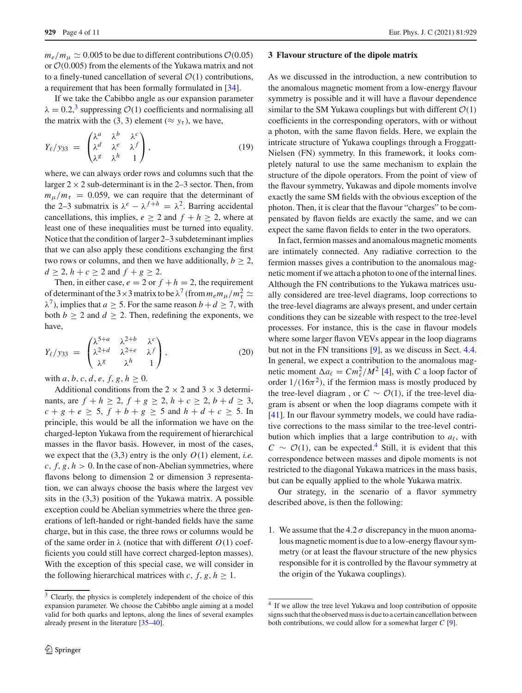$m_e/m_\mu \simeq 0.005$  to be due to different contributions  $\mathcal{O}(0.05)$ or *O*(0.005) from the elements of the Yukawa matrix and not to a finely-tuned cancellation of several  $\mathcal{O}(1)$  contributions, a requirement that has been formally formulated in [\[34\]](#page-9-13).

If we take the Cabibbo angle as our expansion parameter  $\lambda = 0.2$ ,<sup>[3](#page-3-1)</sup> suppressing *O*(1) coefficients and normalising all the matrix with the (3, 3) element ( $\approx$   $y_\tau$ ), we have,

$$
Y_{\ell}/y_{33} = \begin{pmatrix} \lambda^a & \lambda^b & \lambda^c \\ \lambda^d & \lambda^e & \lambda^f \\ \lambda^g & \lambda^h & 1 \end{pmatrix}, \tag{19}
$$

where, we can always order rows and columns such that the larger  $2 \times 2$  sub-determinant is in the 2–3 sector. Then, from  $m_{\mu}/m_{\tau}$  = 0.059, we can require that the determinant of the 2–3 submatrix is  $\lambda^e - \lambda^{f+h} = \lambda^2$ . Barring accidental cancellations, this implies,  $e \geq 2$  and  $f + h \geq 2$ , where at least one of these inequalities must be turned into equality. Notice that the condition of larger 2–3 subdeteminant implies that we can also apply these conditions exchanging the first two rows or columns, and then we have additionally,  $b \geq 2$ , *d* ≥ 2, *h* + *c* ≥ 2 and *f* + *g* ≥ 2.

Then, in either case,  $e = 2$  or  $f + h = 2$ , the requirement of determinant of the 3 × 3 matrix to be  $\lambda^7$  (from  $m_e m_\mu/m_\tau^2 \simeq$  $\lambda^7$ ), implies that *a*  $\geq$  5. For the same reason *b* + *d*  $\geq$  7, with both  $b \ge 2$  and  $d \ge 2$ . Then, redefining the exponents, we have,

<span id="page-3-3"></span>
$$
Y_{\ell}/y_{33} = \begin{pmatrix} \lambda^{5+a} & \lambda^{2+b} & \lambda^c \\ \lambda^{2+d} & \lambda^{2+e} & \lambda^f \\ \lambda^g & \lambda^h & 1 \end{pmatrix},
$$
 (20)

with *a*, *b*, *c*, *d*, *e*, *f*, *g*, *h*  $\geq$  0.

Additional conditions from the  $2 \times 2$  and  $3 \times 3$  determinants, are *f* + *h* ≥ 2, *f* + *g* ≥ 2, *h* + *c* ≥ 2, *b* + *d* ≥ 3,  $c + g + e \ge 5$ ,  $f + b + g \ge 5$  and  $h + d + c \ge 5$ . In principle, this would be all the information we have on the charged-lepton Yukawa from the requirement of hierarchical masses in the flavor basis. However, in most of the cases, we expect that the (3,3) entry is the only *O*(1) element, *i.e.*  $c, f, g, h > 0$ . In the case of non-Abelian symmetries, where flavons belong to dimension 2 or dimension 3 representation, we can always choose the basis where the largest vev sits in the (3,3) position of the Yukawa matrix. A possible exception could be Abelian symmetries where the three generations of left-handed or right-handed fields have the same charge, but in this case, the three rows or columns would be of the same order in  $\lambda$  (notice that with different  $O(1)$  coefficients you could still have correct charged-lepton masses). With the exception of this special case, we will consider in the following hierarchical matrices with *c*, *f*, *g*, *h*  $\geq$  1.

#### <span id="page-3-0"></span>**3 Flavour structure of the dipole matrix**

As we discussed in the introduction, a new contribution to the anomalous magnetic moment from a low-energy flavour symmetry is possible and it will have a flavour dependence similar to the SM Yukawa couplings but with different  $\mathcal{O}(1)$ coefficients in the corresponding operators, with or without a photon, with the same flavon fields. Here, we explain the intricate structure of Yukawa couplings through a Froggatt-Nielsen (FN) symmetry. In this framework, it looks completely natural to use the same mechanism to explain the structure of the dipole operators. From the point of view of the flavour symmetry, Yukawas and dipole moments involve exactly the same SM fields with the obvious exception of the photon. Then, it is clear that the flavour "charges" to be compensated by flavon fields are exactly the same, and we can expect the same flavon fields to enter in the two operators.

In fact, fermion masses and anomalous magnetic moments are intimately connected. Any radiative correction to the fermion masses gives a contribution to the anomalous magnetic moment if we attach a photon to one of the internal lines. Although the FN contributions to the Yukawa matrices usually considered are tree-level diagrams, loop corrections to the tree-level diagrams are always present, and under certain conditions they can be sizeable with respect to the tree-level processes. For instance, this is the case in flavour models where some larger flavon VEVs appear in the loop diagrams but not in the FN transitions [\[9\]](#page-8-7), as we discuss in Sect. [4.4.](#page-7-0) In general, we expect a contribution to the anomalous magnetic moment  $\Delta a_{\ell} = C m_{\ell}^2 / M^2$  [\[4\]](#page-8-3), with *C* a loop factor of order  $1/(16\pi^2)$ , if the fermion mass is mostly produced by the tree-level diagram, or  $C \sim \mathcal{O}(1)$ , if the tree-level diagram is absent or when the loop diagrams compete with it [\[41](#page-9-16)]. In our flavour symmetry models, we could have radiative corrections to the mass similar to the tree-level contribution which implies that a large contribution to  $a_{\ell}$ , with  $C \sim \mathcal{O}(1)$ , can be expected.<sup>[4](#page-3-2)</sup> Still, it is evident that this correspondence between masses and dipole moments is not restricted to the diagonal Yukawa matrices in the mass basis, but can be equally applied to the whole Yukawa matrix.

Our strategy, in the scenario of a flavor symmetry described above, is then the following:

1. We assume that the  $4.2 \sigma$  discrepancy in the muon anomalous magnetic moment is due to a low-energy flavour symmetry (or at least the flavour structure of the new physics responsible for it is controlled by the flavour symmetry at the origin of the Yukawa couplings).

<span id="page-3-1"></span><sup>&</sup>lt;sup>3</sup> Clearly, the physics is completely independent of the choice of this expansion parameter. We choose the Cabibbo angle aiming at a model valid for both quarks and leptons, along the lines of several examples already present in the literature [\[35](#page-9-14)[–40](#page-9-15)].

<span id="page-3-2"></span><sup>4</sup> If we allow the tree level Yukawa and loop contribution of opposite signs such that the observed mass is due to a certain cancellation between both contributions, we could allow for a somewhat larger *C* [\[9](#page-8-7)].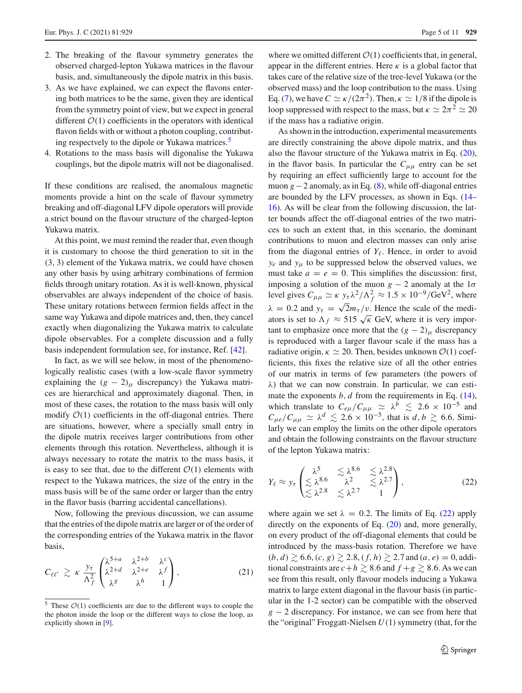- 2. The breaking of the flavour symmetry generates the observed charged-lepton Yukawa matrices in the flavour basis, and, simultaneously the dipole matrix in this basis.
- 3. As we have explained, we can expect the flavons entering both matrices to be the same, given they are identical from the symmetry point of view, but we expect in general different  $O(1)$  coefficients in the operators with identical flavon fields with or without a photon coupling, contributing respectvely to the dipole or Yukawa matrices.<sup>5</sup>
- 4. Rotations to the mass basis will digonalise the Yukawa couplings, but the dipole matrix will not be diagonalised.

If these conditions are realised, the anomalous magnetic moments provide a hint on the scale of flavour symmetry breaking and off-diagonal LFV dipole operators will provide a strict bound on the flavour structure of the charged-lepton Yukawa matrix.

At this point, we must remind the reader that, even though it is customary to choose the third generation to sit in the (3, 3) element of the Yukawa matrix, we could have chosen any other basis by using arbitrary combinations of fermion fields through unitary rotation. As it is well-known, physical observables are always independent of the choice of basis. These unitary rotations between fermion fields affect in the same way Yukawa and dipole matrices and, then, they cancel exactly when diagonalizing the Yukawa matrix to calculate dipole observables. For a complete discussion and a fully basis independent formulation see, for instance, Ref. [\[42](#page-9-17)].

In fact, as we will see below, in most of the phenomenologically realistic cases (with a low-scale flavor symmetry explaining the  $(g - 2)$ <sub>μ</sub> discrepancy) the Yukawa matrices are hierarchical and approximately diagonal. Then, in most of these cases, the rotation to the mass basis will only modify  $O(1)$  coefficients in the off-diagonal entries. There are situations, however, where a specially small entry in the dipole matrix receives larger contributions from other elements through this rotation. Nevertheless, although it is always necessary to rotate the matrix to the mass basis, it is easy to see that, due to the different  $O(1)$  elements with respect to the Yukawa matrices, the size of the entry in the mass basis will be of the same order or larger than the entry in the flavor basis (barring accidental cancellations).

Now, following the previous discussion, we can assume that the entries of the dipole matrix are larger or of the order of the corresponding entries of the Yukawa matrix in the flavor basis,

<span id="page-4-2"></span>
$$
C_{\ell\ell'} \gtrsim \kappa \frac{y_{\tau}}{\Lambda_f^2} \begin{pmatrix} \lambda^{5+a} & \lambda^{2+b} & \lambda^c \\ \lambda^{2+d} & \lambda^{2+e} & \lambda^f \\ \lambda^g & \lambda^h & 1 \end{pmatrix}, \tag{21}
$$

where we omitted different  $\mathcal{O}(1)$  coefficients that, in general, appear in the different entries. Here  $\kappa$  is a global factor that takes care of the relative size of the tree-level Yukawa (or the observed mass) and the loop contribution to the mass. Using Eq. [\(7\)](#page-1-4), we have  $C \simeq \kappa/(2\pi^2)$ . Then,  $\kappa \simeq 1/8$  if the dipole is loop suppressed with respect to the mass, but  $\kappa \simeq 2\pi^2 \simeq 20$ if the mass has a radiative origin.

As shown in the introduction, experimental measurements are directly constraining the above dipole matrix, and thus also the flavour structure of the Yukawa matrix in Eq. [\(20\)](#page-3-3), in the flavor basis. In particular the  $C_{\mu\mu}$  entry can be set by requiring an effect sufficiently large to account for the muon *g*−2 anomaly, as in Eq. [\(8\)](#page-2-3), while off-diagonal entries are bounded by the LFV processes, as shown in Eqs. [\(14–](#page-2-5) [16\)](#page-2-6). As will be clear from the following discussion, the latter bounds affect the off-diagonal entries of the two matrices to such an extent that, in this scenario, the dominant contributions to muon and electron masses can only arise from the diagonal entries of  $Y_{\ell}$ . Hence, in order to avoid  $y_e$  and  $y_\mu$  to be suppressed below the observed values, we must take  $a = e = 0$ . This simplifies the discussion: first, imposing a solution of the muon  $g - 2$  anomaly at the 1 $\sigma$ level gives  $C_{\mu\mu} \simeq \kappa y_\tau \lambda^2 / \Lambda_f^2 \approx 1.5 \times 10^{-9} / \text{GeV}^2$ , where  $\lambda = 0.2$  and  $y_\tau = \sqrt{2}m_\tau/v$ . Hence the scale of the mediators is set to  $\Lambda_f \approx 515 \sqrt{\kappa}$  GeV, where it is very important to emphasize once more that the  $(g - 2)$ <sub>μ</sub> discrepancy is reproduced with a larger flavour scale if the mass has a radiative origin,  $\kappa \simeq 20$ . Then, besides unknown  $\mathcal{O}(1)$  coefficients, this fixes the relative size of all the other entries of our matrix in terms of few parameters (the powers of  $\lambda$ ) that we can now constrain. In particular, we can estimate the exponents *b*, *d* from the requirements in Eq. [\(14\)](#page-2-5), which translate to  $C_{e\mu}/C_{\mu\mu} \simeq \lambda^b \lesssim 2.6 \times 10^{-5}$  and  $C_{\mu e}/C_{\mu \mu} \simeq \lambda^d \lesssim 2.6 \times 10^{-5}$ , that is *d*, *b*  $\gtrsim 6.6$ . Similarly we can employ the limits on the other dipole operators and obtain the following constraints on the flavour structure of the lepton Yukawa matrix:

<span id="page-4-1"></span>
$$
Y_{\ell} \approx y_{\tau} \begin{pmatrix} \lambda^5 & \leq \lambda^{8.6} & \leq \lambda^{2.8} \\ \leq \lambda^{8.6} & \lambda^2 & \leq \lambda^{2.7} \\ \leq \lambda^{2.8} & \leq \lambda^{2.7} & 1 \end{pmatrix},\tag{22}
$$

where again we set  $\lambda = 0.2$ . The limits of Eq. [\(22\)](#page-4-1) apply directly on the exponents of Eq. [\(20\)](#page-3-3) and, more generally, on every product of the off-diagonal elements that could be introduced by the mass-basis rotation. Therefore we have  $(b, d) \gtrsim 6.6$ ,  $(c, g) \gtrsim 2.8$ ,  $(f, h) \gtrsim 2.7$  and  $(a, e) = 0$ , additional constraints are  $c + h \ge 8.6$  and  $f + g \ge 8.6$ . As we can see from this result, only flavour models inducing a Yukawa matrix to large extent diagonal in the flavour basis (in particular in the 1-2 sector) can be compatible with the observed *g* − 2 discrepancy. For instance, we can see from here that the "original" Froggatt-Nielsen *U*(1) symmetry (that, for the

<span id="page-4-0"></span> $5$  These  $O(1)$  coefficients are due to the different ways to couple the the photon inside the loop or the different ways to close the loop, as explicitly shown in [\[9\]](#page-8-7).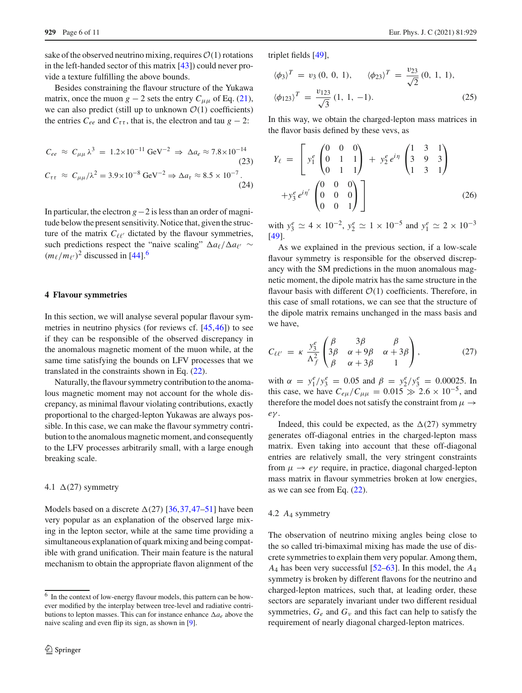sake of the observed neutrino mixing, requires  $\mathcal{O}(1)$  rotations in the left-handed sector of this matrix [\[43](#page-9-18)]) could never provide a texture fulfilling the above bounds.

Besides constraining the flavour structure of the Yukawa matrix, once the muon  $g - 2$  sets the entry  $C_{\mu\mu}$  of Eq. [\(21\)](#page-4-2), we can also predict (still up to unknown  $O(1)$  coefficients) the entries  $C_{ee}$  and  $C_{\tau\tau}$ , that is, the electron and tau  $g - 2$ :

$$
C_{ee} \approx C_{\mu\mu} \lambda^3 = 1.2 \times 10^{-11} \text{ GeV}^{-2} \Rightarrow \Delta a_e \approx 7.8 \times 10^{-14}
$$
\n(23)\n
$$
C_{\tau\tau} \approx C_{\mu\mu}/\lambda^2 = 3.9 \times 10^{-8} \text{ GeV}^{-2} \Rightarrow \Delta a_\tau \approx 8.5 \times 10^{-7}.
$$
\n(24)

In particular, the electron *g*−2 is less than an order of magnitude below the present sensitivity. Notice that, given the structure of the matrix  $C_{\ell\ell'}$  dictated by the flavour symmetries, such predictions respect the "naive scaling"  $\Delta a_{\ell}/\Delta a_{\ell'} \sim$  $(m_\ell/m_{\ell'})^2$  discussed in [\[44](#page-9-19)].<sup>[6](#page-5-0)</sup>

#### **4 Flavour symmetries**

In this section, we will analyse several popular flavour symmetries in neutrino physics (for reviews cf. [\[45](#page-9-20),[46\]](#page-9-21)) to see if they can be responsible of the observed discrepancy in the anomalous magnetic moment of the muon while, at the same time satisfying the bounds on LFV processes that we translated in the constraints shown in Eq. [\(22\)](#page-4-1).

Naturally, the flavour symmetry contribution to the anomalous magnetic moment may not account for the whole discrepancy, as minimal flavour violating contributions, exactly proportional to the charged-lepton Yukawas are always possible. In this case, we can make the flavour symmetry contribution to the anomalous magnetic moment, and consequently to the LFV processes arbitrarily small, with a large enough breaking scale.

#### 4.1  $\Delta$ (27) symmetry

Models based on a discrete  $\Delta(27)$  [\[36](#page-9-22),[37,](#page-9-23)[47](#page-9-24)[–51\]](#page-9-25) have been very popular as an explanation of the observed large mixing in the lepton sector, while at the same time providing a simultaneous explanation of quark mixing and being compatible with grand unification. Their main feature is the natural mechanism to obtain the appropriate flavon alignment of the

triplet fields [\[49\]](#page-9-26),

$$
\langle \phi_3 \rangle^T = v_3 (0, 0, 1), \qquad \langle \phi_{23} \rangle^T = \frac{v_{23}}{\sqrt{2}} (0, 1, 1),
$$

$$
\langle \phi_{123} \rangle^T = \frac{v_{123}}{\sqrt{3}} (1, 1, -1).
$$
 (25)

In this way, we obtain the charged-lepton mass matrices in the flavor basis defined by these vevs, as

$$
Y_{\ell} = \begin{bmatrix} y_1^e \begin{pmatrix} 0 & 0 & 0 \\ 0 & 1 & 1 \\ 0 & 1 & 1 \end{pmatrix} + y_2^e e^{i\eta} \begin{pmatrix} 1 & 3 & 1 \\ 3 & 9 & 3 \\ 1 & 3 & 1 \end{pmatrix} \\ + y_3^e e^{i\eta'} \begin{pmatrix} 0 & 0 & 0 \\ 0 & 0 & 0 \\ 0 & 0 & 1 \end{pmatrix} \end{bmatrix}
$$
 (26)

with  $y_3^e \simeq 4 \times 10^{-2}$ ,  $y_2^e \simeq 1 \times 10^{-5}$  and  $y_1^e \simeq 2 \times 10^{-3}$ [\[49](#page-9-26)].

As we explained in the previous section, if a low-scale flavour symmetry is responsible for the observed discrepancy with the SM predictions in the muon anomalous magnetic moment, the dipole matrix has the same structure in the flavour basis with different  $O(1)$  coefficients. Therefore, in this case of small rotations, we can see that the structure of the dipole matrix remains unchanged in the mass basis and we have,

$$
C_{\ell\ell'} = \kappa \frac{y_3^e}{\Lambda_f^2} \begin{pmatrix} \beta & 3\beta & \beta \\ 3\beta & \alpha + 9\beta & \alpha + 3\beta \\ \beta & \alpha + 3\beta & 1 \end{pmatrix},
$$
(27)

with  $\alpha = y_1^e / y_3^e = 0.05$  and  $\beta = y_2^e / y_3^e = 0.00025$ . In this case, we have  $C_{e\mu}/C_{\mu\mu} = 0.015 \gg 2.6 \times 10^{-5}$ , and therefore the model does not satisfy the constraint from  $\mu \rightarrow$ *e*γ .

Indeed, this could be expected, as the  $\Delta(27)$  symmetry generates off-diagonal entries in the charged-lepton mass matrix. Even taking into account that these off-diagonal entries are relatively small, the very stringent constraints from  $\mu \rightarrow e\gamma$  require, in practice, diagonal charged-lepton mass matrix in flavour symmetries broken at low energies, as we can see from Eq. [\(22\)](#page-4-1).

#### <span id="page-5-1"></span>4.2 *A*<sup>4</sup> symmetry

The observation of neutrino mixing angles being close to the so called tri-bimaximal mixing has made the use of discrete symmetries to explain them very popular. Among them, *A*<sup>4</sup> has been very successful [\[52](#page-9-27)[–63\]](#page-9-28). In this model, the *A*<sup>4</sup> symmetry is broken by different flavons for the neutrino and charged-lepton matrices, such that, at leading order, these sectors are separately invariant under two different residual symmetries,  $G_e$  and  $G_v$  and this fact can help to satisfy the requirement of nearly diagonal charged-lepton matrices.

<span id="page-5-0"></span><sup>6</sup> In the context of low-energy flavour models, this pattern can be however modified by the interplay between tree-level and radiative contributions to lepton masses. This can for instance enhance  $\Delta a_e$  above the naive scaling and even flip its sign, as shown in [\[9](#page-8-7)].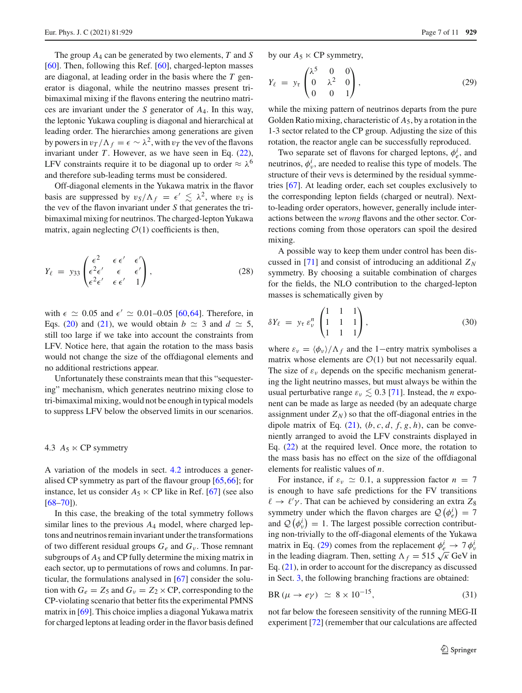The group *A*<sup>4</sup> can be generated by two elements, *T* and *S* [\[60](#page-9-29)]. Then, following this Ref. [\[60\]](#page-9-29), charged-lepton masses are diagonal, at leading order in the basis where the *T* generator is diagonal, while the neutrino masses present tribimaximal mixing if the flavons entering the neutrino matrices are invariant under the *S* generator of *A*4. In this way, the leptonic Yukawa coupling is diagonal and hierarchical at leading order. The hierarchies among generations are given by powers in  $v_T/\Lambda_f = \epsilon \sim \lambda^2$ , with  $v_T$  the vev of the flavons invariant under  $T$ . However, as we have seen in Eq.  $(22)$ , LFV constraints require it to be diagonal up to order  $\approx \lambda^6$ and therefore sub-leading terms must be considered.

Off-diagonal elements in the Yukawa matrix in the flavor basis are suppressed by  $v_S/\Lambda_f = \epsilon' \lesssim \lambda^2$ , where  $v_S$  is the vev of the flavon invariant under *S* that generates the tribimaximal mixing for neutrinos. The charged-lepton Yukawa matrix, again neglecting  $O(1)$  coefficients is then,

$$
Y_{\ell} = y_{33} \begin{pmatrix} \epsilon^2 & \epsilon \epsilon' & \epsilon' \\ \epsilon^2 \epsilon' & \epsilon & \epsilon' \\ \epsilon^2 \epsilon' & \epsilon \epsilon' & 1 \end{pmatrix}, \tag{28}
$$

with  $\epsilon \simeq 0.05$  and  $\epsilon' \simeq 0.01{\text{-}}0.05$  [\[60,](#page-9-29)[64\]](#page-9-30). Therefore, in Eqs. [\(20\)](#page-3-3) and [\(21\)](#page-4-2), we would obtain  $b \approx 3$  and  $d \approx 5$ , still too large if we take into account the constraints from LFV. Notice here, that again the rotation to the mass basis would not change the size of the offdiagonal elements and no additional restrictions appear.

Unfortunately these constraints mean that this "sequestering" mechanism, which generates neutrino mixing close to tri-bimaximal mixing, would not be enough in typical models to suppress LFV below the observed limits in our scenarios.

## 4.3  $A_5 \ltimes CP$  symmetry

A variation of the models in sect. [4.2](#page-5-1) introduces a generalised CP symmetry as part of the flavour group [\[65](#page-9-31)[,66](#page-9-32)]; for instance, let us consider  $A_5 \ltimes CP$  like in Ref. [\[67\]](#page-9-33) (see also  $[68-70]$  $[68-70]$ ).

In this case, the breaking of the total symmetry follows similar lines to the previous *A*<sup>4</sup> model, where charged leptons and neutrinos remain invariant under the transformations of two different residual groups *Ge* and *G*<sup>ν</sup> . Those remnant subgroups of  $A_5$  and CP fully determine the mixing matrix in each sector, up to permutations of rows and columns. In particular, the formulations analysed in [\[67\]](#page-9-33) consider the solution with  $G_e = Z_5$  and  $G_v = Z_2 \times CP$ , corresponding to the CP-violating scenario that better fits the experimental PMNS matrix in [\[69\]](#page-10-2). This choice implies a diagonal Yukawa matrix for charged leptons at leading order in the flavor basis defined by our  $A_5 \ltimes CP$  symmetry,

<span id="page-6-0"></span>
$$
Y_{\ell} = y_{\tau} \begin{pmatrix} \lambda^5 & 0 & 0 \\ 0 & \lambda^2 & 0 \\ 0 & 0 & 1 \end{pmatrix}, \tag{29}
$$

while the mixing pattern of neutrinos departs from the pure Golden Ratio mixing, characteristic of *A*5, by a rotation in the 1-3 sector related to the CP group. Adjusting the size of this rotation, the reactor angle can be successfully reproduced.

Two separate set of flavons for charged leptons,  $\phi_e^i$ , and neutrinos,  $\phi_v^i$ , are needed to realise this type of models. The structure of their vevs is determined by the residual symmetries [\[67\]](#page-9-33). At leading order, each set couples exclusively to the corresponding lepton fields (charged or neutral). Nextto-leading order operators, however, generally include interactions between the *wrong* flavons and the other sector. Corrections coming from those operators can spoil the desired mixing.

A possible way to keep them under control has been dis-cussed in [\[71\]](#page-10-3) and consist of introducing an additional  $Z_N$ symmetry. By choosing a suitable combination of charges for the fields, the NLO contribution to the charged-lepton masses is schematically given by

$$
\delta Y_{\ell} = y_{\tau} \, \varepsilon_{\nu}^{n} \begin{pmatrix} 1 & 1 & 1 \\ 1 & 1 & 1 \\ 1 & 1 & 1 \end{pmatrix}, \tag{30}
$$

where  $\varepsilon_v = \langle \phi_v \rangle / \Lambda_f$  and the 1−entry matrix symbolises a matrix whose elements are  $\mathcal{O}(1)$  but not necessarily equal. The size of  $\varepsilon_{\nu}$  depends on the specific mechanism generating the light neutrino masses, but must always be within the usual perturbative range  $\varepsilon_v \lesssim 0.3$  [\[71](#page-10-3)]. Instead, the *n* exponent can be made as large as needed (by an adequate charge assignment under  $Z_N$ ) so that the off-diagonal entries in the dipole matrix of Eq.  $(21)$ ,  $(b, c, d, f, g, h)$ , can be conveniently arranged to avoid the LFV constraints displayed in Eq. [\(22\)](#page-4-1) at the required level. Once more, the rotation to the mass basis has no effect on the size of the offdiagonal elements for realistic values of *n*.

For instance, if  $\varepsilon_v \simeq 0.1$ , a suppression factor  $n = 7$ is enough to have safe predictions for the FV transitions  $\ell \to \ell' \gamma$ . That can be achieved by considering an extra  $Z_8$ symmetry under which the flavon charges are  $\mathcal{Q}(\phi_e^i) = 7$ and  $\mathcal{Q}(\phi_v^i) = 1$ . The largest possible correction contributing non-trivially to the off-diagonal elements of the Yukawa matrix in Eq. [\(29\)](#page-6-0) comes from the replacement  $\phi_e^i \rightarrow 7 \phi_i^i$ in the leading diagram. Then, setting  $\Lambda_f = 515 \sqrt{\kappa}$  GeV in Eq. [\(21\)](#page-4-2), in order to account for the discrepancy as discussed in Sect. [3,](#page-3-0) the following branching fractions are obtained:

$$
BR\left(\mu \to e\gamma\right) \simeq 8 \times 10^{-15},\tag{31}
$$

not far below the foreseen sensitivity of the running MEG-II experiment [\[72](#page-10-4)] (remember that our calculations are affected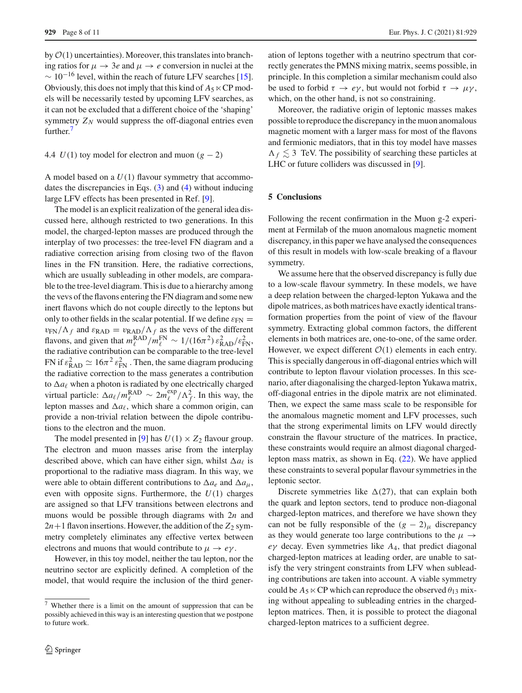by  $O(1)$  uncertainties). Moreover, this translates into branching ratios for  $\mu \to 3e$  and  $\mu \to e$  conversion in nuclei at the  $\sim 10^{-16}$  level, within the reach of future LFV searches [\[15](#page-8-12)]. Obviously, this does not imply that this kind of  $A_5 \ltimes CP$  models will be necessarily tested by upcoming LFV searches, as it can not be excluded that a different choice of the 'shaping' symmetry  $Z_N$  would suppress the off-diagonal entries even further.<sup>[7](#page-7-1)</sup>

#### <span id="page-7-0"></span>4.4  $U(1)$  toy model for electron and muon  $(g - 2)$

A model based on a *U*(1) flavour symmetry that accommodates the discrepancies in Eqs. [\(3\)](#page-1-1) and [\(4\)](#page-1-5) without inducing large LFV effects has been presented in Ref. [\[9](#page-8-7)].

The model is an explicit realization of the general idea discussed here, although restricted to two generations. In this model, the charged-lepton masses are produced through the interplay of two processes: the tree-level FN diagram and a radiative correction arising from closing two of the flavon lines in the FN transition. Here, the radiative corrections, which are usually subleading in other models, are comparable to the tree-level diagram. This is due to a hierarchy among the vevs of the flavons entering the FN diagram and some new inert flavons which do not couple directly to the leptons but only to other fields in the scalar potential. If we define  $\varepsilon_{FN} =$  $v_{FN}/\Lambda_f$  and  $\varepsilon_{\text{RAD}} = v_{\text{RAD}}/\Lambda_f$  as the vevs of the different flavons, and given that  $m_{\ell}^{\text{RAD}}/m_{\ell}^{\text{FN}} \sim 1/(16\pi^2) \varepsilon_{\text{RAD}}^2/\varepsilon_{\text{FN}}^2$ , the radiative contribution can be comparable to the tree-level FN if  $\varepsilon_{\text{RAD}}^2 \simeq 16\pi^2 \varepsilon_{\text{FN}}^2$ . Then, the same diagram producing the radiative correction to the mass generates a contribution to  $\Delta a_{\ell}$  when a photon is radiated by one electrically charged virtual particle:  $\Delta a_{\ell}/m_{\ell}^{RAD} \sim 2m_{\ell}^{exp}/\Lambda_f^2$ . In this way, the lepton masses and  $\Delta a_{\ell}$ , which share a common origin, can provide a non-trivial relation between the dipole contributions to the electron and the muon.

The model presented in [\[9](#page-8-7)] has  $U(1) \times Z_2$  flavour group. The electron and muon masses arise from the interplay described above, which can have either sign, whilst  $\Delta a_{\ell}$  is proportional to the radiative mass diagram. In this way, we were able to obtain different contributions to  $\Delta a_e$  and  $\Delta a_\mu$ , even with opposite signs. Furthermore, the *U*(1) charges are assigned so that LFV transitions between electrons and muons would be possible through diagrams with 2*n* and  $2n+1$  flavon insertions. However, the addition of the  $Z_2$  symmetry completely eliminates any effective vertex between electrons and muons that would contribute to  $\mu \to e\gamma$ .

However, in this toy model, neither the tau lepton, nor the neutrino sector are explicitly defined. A completion of the model, that would require the inclusion of the third gener-

ation of leptons together with a neutrino spectrum that correctly generates the PMNS mixing matrix, seems possible, in principle. In this completion a similar mechanism could also be used to forbid  $\tau \to e\gamma$ , but would not forbid  $\tau \to \mu\gamma$ , which, on the other hand, is not so constraining.

Moreover, the radiative origin of leptonic masses makes possible to reproduce the discrepancy in the muon anomalous magnetic moment with a larger mass for most of the flavons and fermionic mediators, that in this toy model have masses  $\Lambda_f \lesssim 3$  TeV. The possibility of searching these particles at LHC or future colliders was discussed in [\[9\]](#page-8-7).

#### **5 Conclusions**

Following the recent confirmation in the Muon g-2 experiment at Fermilab of the muon anomalous magnetic moment discrepancy, in this paper we have analysed the consequences of this result in models with low-scale breaking of a flavour symmetry.

We assume here that the observed discrepancy is fully due to a low-scale flavour symmetry. In these models, we have a deep relation between the charged-lepton Yukawa and the dipole matrices, as both matrices have exactly identical transformation properties from the point of view of the flavour symmetry. Extracting global common factors, the different elements in both matrices are, one-to-one, of the same order. However, we expect different  $O(1)$  elements in each entry. This is specially dangerous in off-diagonal entries which will contribute to lepton flavour violation processes. In this scenario, after diagonalising the charged-lepton Yukawa matrix, off-diagonal entries in the dipole matrix are not eliminated. Then, we expect the same mass scale to be responsible for the anomalous magnetic moment and LFV processes, such that the strong experimental limits on LFV would directly constrain the flavour structure of the matrices. In practice, these constraints would require an almost diagonal chargedlepton mass matrix, as shown in Eq. [\(22\)](#page-4-1). We have applied these constraints to several popular flavour symmetries in the leptonic sector.

Discrete symmetries like  $\Delta(27)$ , that can explain both the quark and lepton sectors, tend to produce non-diagonal charged-lepton matrices, and therefore we have shown they can not be fully responsible of the  $(g - 2)$ <sub>μ</sub> discrepancy as they would generate too large contributions to the  $\mu \rightarrow$ *e*γ decay. Even symmetries like *A*4, that predict diagonal charged-lepton matrices at leading order, are unable to satisfy the very stringent constraints from LFV when subleading contributions are taken into account. A viable symmetry could be  $A_5 \ltimes CP$  which can reproduce the observed  $\theta_{13}$  mixing without appealing to subleading entries in the chargedlepton matrices. Then, it is possible to protect the diagonal charged-lepton matrices to a sufficient degree.

<span id="page-7-1"></span><sup>7</sup> Whether there is a limit on the amount of suppression that can be possibly achieved in this way is an interesting question that we postpone to future work.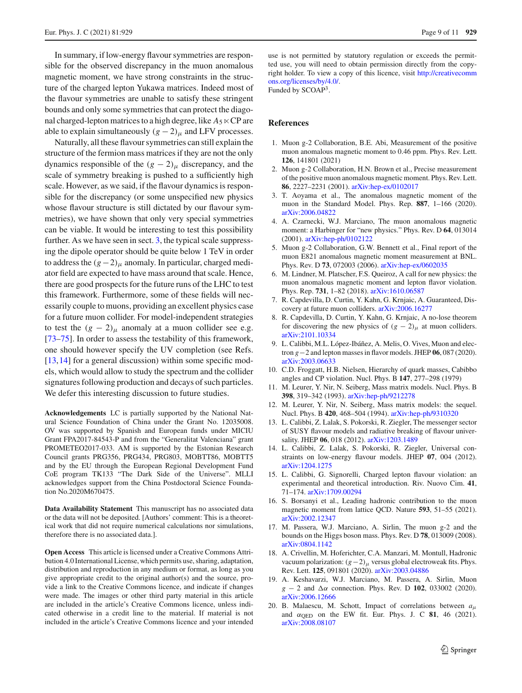In summary, if low-energy flavour symmetries are responsible for the observed discrepancy in the muon anomalous magnetic moment, we have strong constraints in the structure of the charged lepton Yukawa matrices. Indeed most of the flavour symmetries are unable to satisfy these stringent bounds and only some symmetries that can protect the diagonal charged-lepton matrices to a high degree, like  $A_5 \ltimes CP$  are able to explain simultaneously  $(g - 2)$ <sub>μ</sub> and LFV processes.

Naturally, all these flavour symmetries can still explain the structure of the fermion mass matrices if they are not the only dynamics responsible of the  $(g - 2)$ <sub>μ</sub> discrepancy, and the scale of symmetry breaking is pushed to a sufficiently high scale. However, as we said, if the flavour dynamics is responsible for the discrepancy (or some unspecified new physics whose flavour structure is still dictated by our flavour symmetries), we have shown that only very special symmetries can be viable. It would be interesting to test this possibility further. As we have seen in sect. [3,](#page-3-0) the typical scale suppressing the dipole operator should be quite below 1 TeV in order to address the  $(g-2)_{\mu}$  anomaly. In particular, charged mediator field are expected to have mass around that scale. Hence, there are good prospects for the future runs of the LHC to test this framework. Furthermore, some of these fields will necessarily couple to muons, providing an excellent physics case for a future muon collider. For model-independent strategies to test the  $(g - 2)_{\mu}$  anomaly at a muon collider see e.g. [\[73](#page-10-5)[–75](#page-10-6)]. In order to assess the testability of this framework, one should however specify the UV completion (see Refs. [\[13](#page-8-10),[14\]](#page-8-11) for a general discussion) within some specific models, which would allow to study the spectrum and the collider signatures following production and decays of such particles. We defer this interesting discussion to future studies.

**Acknowledgements** LC is partially supported by the National Natural Science Foundation of China under the Grant No. 12035008. OV was supported by Spanish and European funds under MICIU Grant FPA2017-84543-P and from the "Generalitat Valenciana" grant PROMETEO2017-033. AM is supported by the Estonian Research Council grants PRG356, PRG434, PRG803, MOBTT86, MOBTT5 and by the EU through the European Regional Development Fund CoE program TK133 "The Dark Side of the Universe". MLLI acknowledges support from the China Postdoctoral Science Foundation No.2020M670475.

**Data Availability Statement** This manuscript has no associated data or the data will not be deposited. [Authors' comment: This is a theoretical work that did not require numerical calculations nor simulations, therefore there is no associated data.].

**Open Access** This article is licensed under a Creative Commons Attribution 4.0 International License, which permits use, sharing, adaptation, distribution and reproduction in any medium or format, as long as you give appropriate credit to the original author(s) and the source, provide a link to the Creative Commons licence, and indicate if changes were made. The images or other third party material in this article are included in the article's Creative Commons licence, unless indicated otherwise in a credit line to the material. If material is not included in the article's Creative Commons licence and your intended use is not permitted by statutory regulation or exceeds the permitted use, you will need to obtain permission directly from the copyright holder. To view a copy of this licence, visit [http://creativecomm](http://creativecommons.org/licenses/by/4.0/) [ons.org/licenses/by/4.0/.](http://creativecommons.org/licenses/by/4.0/)

Funded by SCOAP3.

### **References**

- <span id="page-8-0"></span>1. Muon g-2 Collaboration, B.E. Abi, Measurement of the positive muon anomalous magnetic moment to 0.46 ppm. Phys. Rev. Lett. **126**, 141801 (2021)
- <span id="page-8-1"></span>2. Muon g-2 Collaboration, H.N. Brown et al., Precise measurement of the positive muon anomalous magnetic moment. Phys. Rev. Lett. **86**, 2227–2231 (2001). [arXiv:hep-ex/0102017](http://arxiv.org/abs/hep-ex/0102017)
- <span id="page-8-2"></span>3. T. Aoyama et al., The anomalous magnetic moment of the muon in the Standard Model. Phys. Rep. **887**, 1–166 (2020). [arXiv:2006.04822](http://arxiv.org/abs/2006.04822)
- <span id="page-8-3"></span>4. A. Czarnecki, W.J. Marciano, The muon anomalous magnetic moment: a Harbinger for "new physics." Phys. Rev. D **64**, 013014 (2001). [arXiv:hep-ph/0102122](http://arxiv.org/abs/hep-ph/0102122)
- <span id="page-8-4"></span>5. Muon g-2 Collaboration, G.W. Bennett et al., Final report of the muon E821 anomalous magnetic moment measurement at BNL. Phys. Rev. D **73**, 072003 (2006). [arXiv:hep-ex/0602035](http://arxiv.org/abs/hep-ex/0602035)
- <span id="page-8-5"></span>6. M. Lindner, M. Platscher, F.S. Queiroz, A call for new physics: the muon anomalous magnetic moment and lepton flavor violation. Phys. Rep. **731**, 1–82 (2018). [arXiv:1610.06587](http://arxiv.org/abs/1610.06587)
- <span id="page-8-6"></span>7. R. Capdevilla, D. Curtin, Y. Kahn, G. Krnjaic, A. Guaranteed, Discovery at future muon colliders. [arXiv:2006.16277](http://arxiv.org/abs/2006.16277)
- 8. R. Capdevilla, D. Curtin, Y. Kahn, G. Krnjaic, A no-lose theorem for discovering the new physics of  $(g - 2)$ <sub>μ</sub> at muon colliders. [arXiv:2101.10334](http://arxiv.org/abs/2101.10334)
- <span id="page-8-7"></span>9. L. Calibbi, M.L. López-Ibáñez, A. Melis, O. Vives, Muon and electron *g*−2 and lepton masses in flavor models. JHEP **06**, 087 (2020). [arXiv:2003.06633](http://arxiv.org/abs/2003.06633)
- <span id="page-8-8"></span>10. C.D. Froggatt, H.B. Nielsen, Hierarchy of quark masses, Cabibbo angles and CP violation. Nucl. Phys. B **147**, 277–298 (1979)
- 11. M. Leurer, Y. Nir, N. Seiberg, Mass matrix models. Nucl. Phys. B **398**, 319–342 (1993). [arXiv:hep-ph/9212278](http://arxiv.org/abs/hep-ph/9212278)
- <span id="page-8-9"></span>12. M. Leurer, Y. Nir, N. Seiberg, Mass matrix models: the sequel. Nucl. Phys. B **420**, 468–504 (1994). [arXiv:hep-ph/9310320](http://arxiv.org/abs/hep-ph/9310320)
- <span id="page-8-10"></span>13. L. Calibbi, Z. Lalak, S. Pokorski, R. Ziegler, The messenger sector of SUSY flavour models and radiative breaking of flavour universality. JHEP **06**, 018 (2012). [arXiv:1203.1489](http://arxiv.org/abs/1203.1489)
- <span id="page-8-11"></span>14. L. Calibbi, Z. Lalak, S. Pokorski, R. Ziegler, Universal constraints on low-energy flavour models. JHEP **07**, 004 (2012). [arXiv:1204.1275](http://arxiv.org/abs/1204.1275)
- <span id="page-8-12"></span>15. L. Calibbi, G. Signorelli, Charged lepton flavour violation: an experimental and theoretical introduction. Riv. Nuovo Cim. **41**, 71–174. [arXiv:1709.00294](http://arxiv.org/abs/1709.00294)
- <span id="page-8-13"></span>16. S. Borsanyi et al., Leading hadronic contribution to the muon magnetic moment from lattice QCD. Nature **593**, 51–55 (2021). [arXiv:2002.12347](http://arxiv.org/abs/2002.12347)
- <span id="page-8-14"></span>17. M. Passera, W.J. Marciano, A. Sirlin, The muon g-2 and the bounds on the Higgs boson mass. Phys. Rev. D **78**, 013009 (2008). [arXiv:0804.1142](http://arxiv.org/abs/0804.1142)
- 18. A. Crivellin, M. Hoferichter, C.A. Manzari, M. Montull, Hadronic vacuum polarization:  $(g-2)$ <sub>μ</sub> versus global electroweak fits. Phys. Rev. Lett. **125**, 091801 (2020). [arXiv:2003.04886](http://arxiv.org/abs/2003.04886)
- 19. A. Keshavarzi, W.J. Marciano, M. Passera, A. Sirlin, Muon  $g - 2$  and  $\Delta \alpha$  connection. Phys. Rev. D **102**, 033002 (2020). [arXiv:2006.12666](http://arxiv.org/abs/2006.12666)
- <span id="page-8-15"></span>20. B. Malaescu, M. Schott, Impact of correlations between  $a_{\mu}$ and  $\alpha$ <sub>OED</sub> on the EW fit. Eur. Phys. J. C **81**, 46 (2021). [arXiv:2008.08107](http://arxiv.org/abs/2008.08107)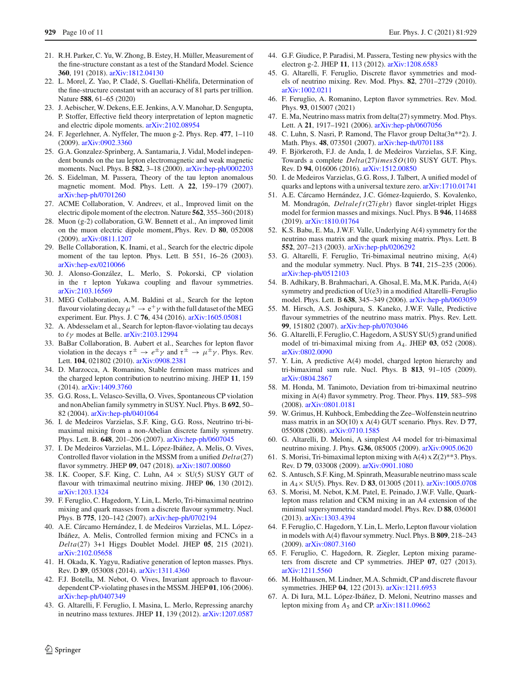- <span id="page-9-0"></span>21. R.H. Parker, C. Yu, W. Zhong, B. Estey, H. Müller, Measurement of the fine-structure constant as a test of the Standard Model. Science **360**, 191 (2018). [arXiv:1812.04130](http://arxiv.org/abs/1812.04130)
- <span id="page-9-1"></span>22. L. Morel, Z. Yao, P. Cladé, S. Guellati-Khélifa, Determination of the fine-structure constant with an accuracy of 81 parts per trillion. Nature **588**, 61–65 (2020)
- <span id="page-9-2"></span>23. J. Aebischer, W. Dekens, E.E. Jenkins, A.V. Manohar, D. Sengupta, P. Stoffer, Effective field theory interpretation of lepton magnetic and electric dipole moments. [arXiv:2102.08954](http://arxiv.org/abs/2102.08954)
- <span id="page-9-3"></span>24. F. Jegerlehner, A. Nyffeler, The muon g-2. Phys. Rep. **477**, 1–110 (2009). [arXiv:0902.3360](http://arxiv.org/abs/0902.3360)
- <span id="page-9-4"></span>25. G.A. Gonzalez-Sprinberg, A. Santamaria, J. Vidal, Model independent bounds on the tau lepton electromagnetic and weak magnetic moments. Nucl. Phys. B **582**, 3–18 (2000). [arXiv:hep-ph/0002203](http://arxiv.org/abs/hep-ph/0002203)
- <span id="page-9-5"></span>26. S. Eidelman, M. Passera, Theory of the tau lepton anomalous magnetic moment. Mod. Phys. Lett. A **22**, 159–179 (2007). [arXiv:hep-ph/0701260](http://arxiv.org/abs/hep-ph/0701260)
- <span id="page-9-6"></span>27. ACME Collaboration, V. Andreev, et al., Improved limit on the electric dipole moment of the electron. Nature **562**, 355–360 (2018)
- <span id="page-9-7"></span>28. Muon (g-2) collaboration, G.W. Bennett et al., An improved limit on the muon electric dipole moment,.Phys. Rev. D **80**, 052008 (2009). [arXiv:0811.1207](http://arxiv.org/abs/0811.1207)
- <span id="page-9-8"></span>29. Belle Collaboration, K. Inami, et al., Search for the electric dipole moment of the tau lepton. Phys. Lett. B 551, 16–26 (2003). [arXiv:hep-ex/0210066](http://arxiv.org/abs/hep-ex/0210066)
- <span id="page-9-10"></span>30. J. Alonso-González, L. Merlo, S. Pokorski, CP violation in the  $\tau$  lepton Yukawa coupling and flavour symmetries. [arXiv:2103.16569](http://arxiv.org/abs/2103.16569)
- <span id="page-9-9"></span>31. MEG Collaboration, A.M. Baldini et al., Search for the lepton flavour violating decay  $\mu^+ \to e^+ \gamma$  with the full dataset of the MEG experiment. Eur. Phys. J. C **76**, 434 (2016). [arXiv:1605.05081](http://arxiv.org/abs/1605.05081)
- <span id="page-9-11"></span>32. A. Abdesselam et al., Search for lepton-flavor-violating tau decays to  $\ell\gamma$  modes at Belle. [arXiv:2103.12994](http://arxiv.org/abs/2103.12994)
- <span id="page-9-12"></span>33. BaBar Collaboration, B. Aubert et al., Searches for lepton flavor violation in the decays  $\tau^{\pm} \to e^{\pm} \gamma$  and  $\tau^{\pm} \to \mu^{\pm} \gamma$ . Phys. Rev. Lett. **104**, 021802 (2010). [arXiv:0908.2381](http://arxiv.org/abs/0908.2381)
- <span id="page-9-13"></span>34. D. Marzocca, A. Romanino, Stable fermion mass matrices and the charged lepton contribution to neutrino mixing. JHEP **11**, 159 (2014). [arXiv:1409.3760](http://arxiv.org/abs/1409.3760)
- <span id="page-9-14"></span>35. G.G. Ross, L. Velasco-Sevilla, O. Vives, Spontaneous CP violation and nonAbelian family symmetry in SUSY. Nucl. Phys. B **692**, 50– 82 (2004). [arXiv:hep-ph/0401064](http://arxiv.org/abs/hep-ph/0401064)
- <span id="page-9-22"></span>36. I. de Medeiros Varzielas, S.F. King, G.G. Ross, Neutrino tri-bimaximal mixing from a non-Abelian discrete family symmetry. Phys. Lett. B. **648**, 201–206 (2007). [arXiv:hep-ph/0607045](http://arxiv.org/abs/hep-ph/0607045)
- <span id="page-9-23"></span>37. I. De Medeiros Varzielas, M.L. López-Ibáñez, A. Melis, O. Vives, Controlled flavor violation in the MSSM from a unified *Delta*(27) flavor symmetry. JHEP **09**, 047 (2018). [arXiv:1807.00860](http://arxiv.org/abs/1807.00860)
- 38. I.K. Cooper, S.F. King, C. Luhn,  $A4 \times SU(5)$  SUSY GUT of flavour with trimaximal neutrino mixing. JHEP **06**, 130 (2012). [arXiv:1203.1324](http://arxiv.org/abs/1203.1324)
- 39. F. Feruglio, C. Hagedorn, Y. Lin, L. Merlo, Tri-bimaximal neutrino mixing and quark masses from a discrete flavour symmetry. Nucl. Phys. B **775**, 120–142 (2007). [arXiv:hep-ph/0702194](http://arxiv.org/abs/hep-ph/0702194)
- <span id="page-9-15"></span>40. A.E. Cárcamo Hernández, I. de Medeiros Varzielas, M.L. López-Ibáñez, A. Melis, Controlled fermion mixing and FCNCs in a *Delta*(27) 3+1 Higgs Doublet Model. JHEP **05**, 215 (2021). [arXiv:2102.05658](http://arxiv.org/abs/2102.05658)
- <span id="page-9-16"></span>41. H. Okada, K. Yagyu, Radiative generation of lepton masses. Phys. Rev. D **89**, 053008 (2014). [arXiv:1311.4360](http://arxiv.org/abs/1311.4360)
- <span id="page-9-17"></span>42. F.J. Botella, M. Nebot, O. Vives, Invariant approach to flavourdependent CP-violating phases in the MSSM. JHEP **01**, 106 (2006). [arXiv:hep-ph/0407349](http://arxiv.org/abs/hep-ph/0407349)
- <span id="page-9-18"></span>43. G. Altarelli, F. Feruglio, I. Masina, L. Merlo, Repressing anarchy in neutrino mass textures. JHEP **11**, 139 (2012). [arXiv:1207.0587](http://arxiv.org/abs/1207.0587)
- <span id="page-9-19"></span>44. G.F. Giudice, P. Paradisi, M. Passera, Testing new physics with the electron g-2. JHEP **11**, 113 (2012). [arXiv:1208.6583](http://arxiv.org/abs/1208.6583)
- <span id="page-9-20"></span>45. G. Altarelli, F. Feruglio, Discrete flavor symmetries and models of neutrino mixing. Rev. Mod. Phys. **82**, 2701–2729 (2010). [arXiv:1002.0211](http://arxiv.org/abs/1002.0211)
- <span id="page-9-21"></span>46. F. Feruglio, A. Romanino, Lepton flavor symmetries. Rev. Mod. Phys. **93**, 015007 (2021)
- <span id="page-9-24"></span>47. E. Ma, Neutrino mass matrix from delta(27) symmetry. Mod. Phys. Lett. A **21**, 1917–1921 (2006). [arXiv:hep-ph/0607056](http://arxiv.org/abs/hep-ph/0607056)
- 48. C. Luhn, S. Nasri, P. Ramond, The Flavor group Delta(3n\*\*2). J. Math. Phys. **48**, 073501 (2007). [arXiv:hep-th/0701188](http://arxiv.org/abs/hep-th/0701188)
- <span id="page-9-26"></span>49. F. Björkeroth, F.J. de Anda, I. de Medeiros Varzielas, S.F. King, Towards a complete *Delta*(27)*imesSO*(10) SUSY GUT. Phys. Rev. D **94**, 016006 (2016). [arXiv:1512.00850](http://arxiv.org/abs/1512.00850)
- 50. I. de Medeiros Varzielas, G.G. Ross, J. Talbert, A unified model of quarks and leptons with a universal texture zero. [arXiv:1710.01741](http://arxiv.org/abs/1710.01741)
- <span id="page-9-25"></span>51. A.E. Cárcamo Hernández, J.C. Gómez-Izquierdo, S. Kovalenko, M. Mondragón, *Deltalef t*(27*ight*) flavor singlet-triplet Higgs model for fermion masses and mixings. Nucl. Phys. B **946**, 114688 (2019). [arXiv:1810.01764](http://arxiv.org/abs/1810.01764)
- <span id="page-9-27"></span>52. K.S. Babu, E. Ma, J.W.F. Valle, Underlying A(4) symmetry for the neutrino mass matrix and the quark mixing matrix. Phys. Lett. B **552**, 207–213 (2003). [arXiv:hep-ph/0206292](http://arxiv.org/abs/hep-ph/0206292)
- 53. G. Altarelli, F. Feruglio, Tri-bimaximal neutrino mixing, A(4) and the modular symmetry. Nucl. Phys. B **741**, 215–235 (2006). [arXiv:hep-ph/0512103](http://arxiv.org/abs/hep-ph/0512103)
- 54. B. Adhikary, B. Brahmachari, A. Ghosal, E. Ma, M.K. Parida, A(4) symmetry and prediction of U(e3) in a modified Altarelli–Feruglio model. Phys. Lett. B **638**, 345–349 (2006). [arXiv:hep-ph/0603059](http://arxiv.org/abs/hep-ph/0603059)
- 55. M. Hirsch, A.S. Joshipura, S. Kaneko, J.W.F. Valle, Predictive flavour symmetries of the neutrino mass matrix. Phys. Rev. Lett. **99**, 151802 (2007). [arXiv:hep-ph/0703046](http://arxiv.org/abs/hep-ph/0703046)
- 56. G. Altarelli, F. Feruglio, C. Hagedorn, A SUSY SU(5) grand unified model of tri-bimaximal mixing from *A*4. JHEP **03**, 052 (2008). [arXiv:0802.0090](http://arxiv.org/abs/0802.0090)
- 57. Y. Lin, A predictive A(4) model, charged lepton hierarchy and tri-bimaximal sum rule. Nucl. Phys. B **813**, 91–105 (2009). [arXiv:0804.2867](http://arxiv.org/abs/0804.2867)
- 58. M. Honda, M. Tanimoto, Deviation from tri-bimaximal neutrino mixing in A(4) flavor symmetry. Prog. Theor. Phys. **119**, 583–598 (2008). [arXiv:0801.0181](http://arxiv.org/abs/0801.0181)
- 59. W. Grimus, H. Kuhbock, Embedding the Zee–Wolfenstein neutrino mass matrix in an SO(10) x A(4) GUT scenario. Phys. Rev. D **77**, 055008 (2008). [arXiv:0710.1585](http://arxiv.org/abs/0710.1585)
- <span id="page-9-29"></span>60. G. Altarelli, D. Meloni, A simplest A4 model for tri-bimaximal neutrino mixing. J. Phys. **G36**, 085005 (2009). [arXiv:0905.0620](http://arxiv.org/abs/0905.0620)
- 61. S. Morisi, Tri-bimaximal lepton mixing with  $A(4)$  x  $Z(2)$ \*\*3. Phys. Rev. D **79**, 033008 (2009). [arXiv:0901.1080](http://arxiv.org/abs/0901.1080)
- 62. S. Antusch, S.F. King, M. Spinrath, Measurable neutrino mass scale in *A*4× SU(5). Phys. Rev. D **83**, 013005 (2011). [arXiv:1005.0708](http://arxiv.org/abs/1005.0708)
- <span id="page-9-28"></span>63. S. Morisi, M. Nebot, K.M. Patel, E. Peinado, J.W.F. Valle, Quarklepton mass relation and CKM mixing in an A4 extension of the minimal supersymmetric standard model. Phys. Rev. D **88**, 036001 (2013). [arXiv:1303.4394](http://arxiv.org/abs/1303.4394)
- <span id="page-9-30"></span>64. F. Feruglio, C. Hagedorn, Y. Lin, L. Merlo, Lepton flavour violation in models with A(4) flavour symmetry. Nucl. Phys. B **809**, 218–243 (2009). [arXiv:0807.3160](http://arxiv.org/abs/0807.3160)
- <span id="page-9-31"></span>65. F. Feruglio, C. Hagedorn, R. Ziegler, Lepton mixing parameters from discrete and CP symmetries. JHEP **07**, 027 (2013). [arXiv:1211.5560](http://arxiv.org/abs/1211.5560)
- <span id="page-9-32"></span>66. M. Holthausen, M. Lindner, M.A. Schmidt, CP and discrete flavour symmetries. JHEP **04**, 122 (2013). [arXiv:1211.6953](http://arxiv.org/abs/1211.6953)
- <span id="page-9-33"></span>67. A. Di Iura, M.L. López-Ibáñez, D. Meloni, Neutrino masses and lepton mixing from *A*<sup>5</sup> and CP. [arXiv:1811.09662](http://arxiv.org/abs/1811.09662)